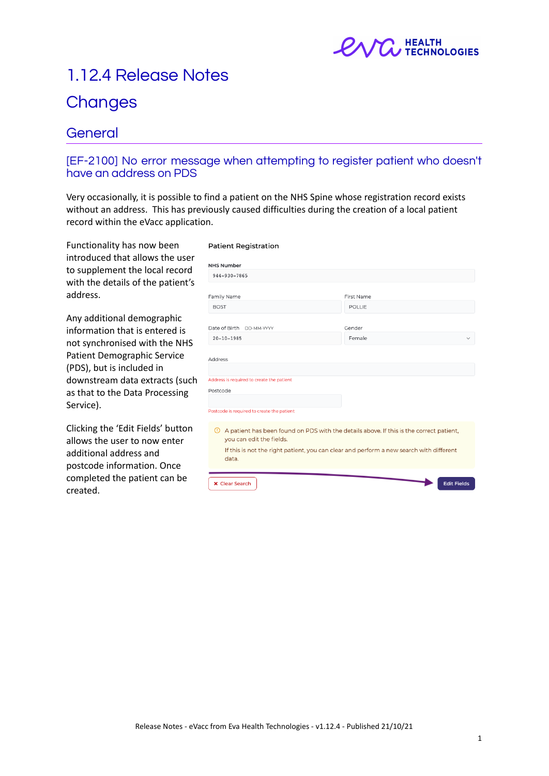

# 1.12.4 Release Notes

## **Changes**

### **General**

#### [EF-2100] No error message when attempting to register patient who doesn't have an address on PDS

Very occasionally, it is possible to find a patient on the NHS Spine whose registration record exists without an address. This has previously caused difficulties during the creation of a local patient record within the eVacc application.

Functionality has now been introduced that allows the user to supplement the local record with the details of the patient's address.

Any additional demographic information that is entered is not synchronised with the NHS Patient Demographic Service (PDS), but is included in downstream data extracts (such as that to the Data Processing Service).

Clicking the 'Edit Fields' button allows the user to now enter additional address and postcode information. Once completed the patient can be created.

#### **Patient Registration**

| <b>NHS Number</b>                                                                                   |                                                                                                                                                                                    |
|-----------------------------------------------------------------------------------------------------|------------------------------------------------------------------------------------------------------------------------------------------------------------------------------------|
| 944-930-7865                                                                                        |                                                                                                                                                                                    |
|                                                                                                     |                                                                                                                                                                                    |
| Family Name                                                                                         | First Name                                                                                                                                                                         |
| <b>BOST</b>                                                                                         | <b>POLLIE</b>                                                                                                                                                                      |
| Date of Birth DD-MM-YYYY                                                                            | Gender                                                                                                                                                                             |
| $20 - 10 - 1985$                                                                                    | Female                                                                                                                                                                             |
| Address is required to create the patient<br>Postcode<br>Postcode is required to create the patient |                                                                                                                                                                                    |
| $\odot$<br>you can edit the fields.                                                                 | A patient has been found on PDS with the details above. If this is the correct patient,<br>If this is not the right patient, you can clear and perform a new search with different |
| data.<br><b>x</b> Clear Search                                                                      | <b>Edit Fields</b>                                                                                                                                                                 |
|                                                                                                     |                                                                                                                                                                                    |